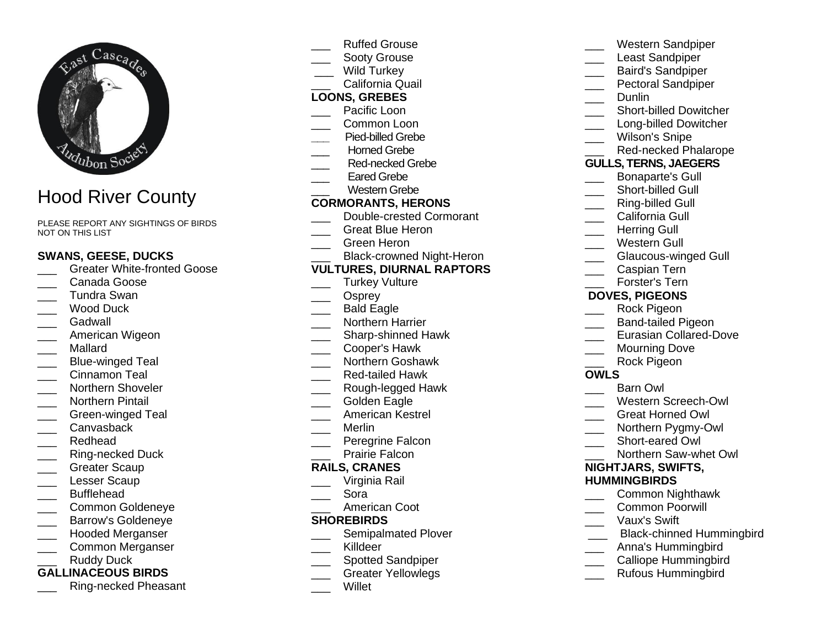

# Hood River County

PLEASE REPORT ANY SIGHTINGS OF BIRDS NOT ON THIS LIST

## **SWANS, GEESE, DUCKS**

- Greater White-fronted Goose
- \_\_\_ Canada Goose
- \_\_\_ Tundra Swan
- Wood Duck
- \_\_\_ Gadwall
- \_\_\_ American Wigeon
- \_\_\_ Mallard
- \_\_\_ Blue-winged Teal
- \_\_\_ Cinnamon Teal
- \_\_\_ Northern Shoveler
- \_\_\_ Northern Pintail
- Green-winged Teal
- Canvasback
- \_\_\_ Redhead
- Ring-necked Duck
- Greater Scaup
- \_\_\_ Lesser Scaup
- **Bufflehead**
- \_\_\_ Common Goldeneye
- \_\_\_ Barrow's Goldeneye
- Hooded Merganser
- \_\_\_ Common Merganser Ruddy Duck

## **GALLINACEOUS BIRDS**

Ring-necked Pheasant

- Ruffed Grouse
- Sooty Grouse
- Wild Turkey
- California Quail

## **LOONS, GREBES**

- Pacific Loon
- \_\_\_ Common Loon
- **\_\_\_** Pied-billed Grebe
- Horned Grebe
- Red-necked Grebe
- Eared Grebe
- Western Grebe

#### **CORMORANTS, HERONS**

- Double-crested Cormorant
- Great Blue Heron
- \_\_\_ Green Heron
- Black-crowned Night-Heron

#### **VULTURES, DIURNAL RAPTORS**

- Turkey Vulture
- Osprey
- Bald Eagle
- \_\_\_ Northern Harrier
- \_\_\_ Sharp-shinned Hawk
- \_\_\_ Cooper's Hawk
- \_\_\_ Northern Goshawk
- \_\_\_ Red-tailed Hawk
- Rough-legged Hawk
- Golden Eagle
- \_\_\_ American Kestrel
- \_\_\_ Merlin
- Peregrine Falcon
- Prairie Falcon

#### **RAILS, CRANES**

- Virginia Rail
- \_\_\_ Sora
- American Coot

#### **SHOREBIRDS**

- Semipalmated Plover
- \_\_\_ Killdeer
- Spotted Sandpiper
- \_\_\_ Greater Yellowlegs
- \_\_\_ Willet

|                              | Western Sandpiper                |
|------------------------------|----------------------------------|
|                              | <b>Least Sandpiper</b>           |
|                              | <b>Baird's Sandpiper</b>         |
| $\overline{\phantom{a}}$     | <b>Pectoral Sandpiper</b>        |
|                              | Dunlin                           |
|                              | <b>Short-billed Dowitcher</b>    |
|                              | <b>Long-billed Dowitcher</b>     |
|                              | <b>Wilson's Snipe</b>            |
|                              | Red-necked Phalarope             |
| <b>GULLS, TERNS, JAEGERS</b> |                                  |
|                              | <b>Bonaparte's Gull</b>          |
|                              | <b>Short-billed Gull</b>         |
|                              | <b>Ring-billed Gull</b>          |
|                              | California Gull                  |
|                              | <b>Herring Gull</b>              |
| $\overline{\phantom{a}}$     | <b>Western Gull</b>              |
|                              | Glaucous-winged Gull             |
| $\frac{1}{2}$                | Caspian Tern                     |
|                              | Forster's Tern                   |
| <b>DOVES, PIGEONS</b>        |                                  |
|                              | Rock Pigeon                      |
|                              | <b>Band-tailed Pigeon</b>        |
|                              | <b>Eurasian Collared-Dove</b>    |
|                              | <b>Mourning Dove</b>             |
|                              | Rock Pigeon                      |
| <b>OWLS</b>                  |                                  |
|                              | <b>Barn Owl</b>                  |
|                              | <b>Western Screech-Owl</b>       |
|                              | <b>Great Horned Owl</b>          |
| $\overline{\phantom{a}}$     | Northern Pygmy-Owl               |
|                              | Short-eared Owl                  |
|                              | Northern Saw-whet Owl            |
|                              | NIGHTJARS, SWIFTS,               |
|                              | <b>HUMMINGBIRDS</b>              |
|                              | <b>Common Nighthawk</b>          |
|                              | <b>Common Poorwill</b>           |
|                              | Vaux's Swift                     |
|                              | <b>Black-chinned Hummingbird</b> |
|                              | Anna's Humminghird               |

- Anna's Hummingbird
- \_\_\_ Calliope Hummingbird
- \_\_\_ Rufous Hummingbird